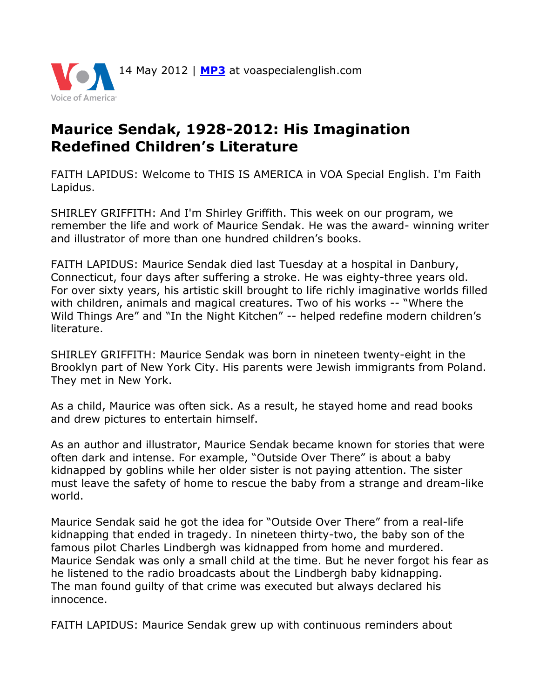

## **Maurice Sendak, 1928-2012: His Imagination Redefined Children's Literature**

FAITH LAPIDUS: Welcome to THIS IS AMERICA in VOA Special English. I'm Faith Lapidus.

SHIRLEY GRIFFITH: And I'm Shirley Griffith. This week on our program, we remember the life and work of Maurice Sendak. He was the award- winning writer and illustrator of more than one hundred children's books.

FAITH LAPIDUS: Maurice Sendak died last Tuesday at a hospital in Danbury, Connecticut, four days after suffering a stroke. He was eighty-three years old. For over sixty years, his artistic skill brought to life richly imaginative worlds filled with children, animals and magical creatures. Two of his works -- "Where the Wild Things Are" and "In the Night Kitchen" -- helped redefine modern children's literature.

SHIRLEY GRIFFITH: Maurice Sendak was born in nineteen twenty-eight in the Brooklyn part of New York City. His parents were Jewish immigrants from Poland. They met in New York.

As a child, Maurice was often sick. As a result, he stayed home and read books and drew pictures to entertain himself.

As an author and illustrator, Maurice Sendak became known for stories that were often dark and intense. For example, "Outside Over There" is about a baby kidnapped by goblins while her older sister is not paying attention. The sister must leave the safety of home to rescue the baby from a strange and dream-like world.

Maurice Sendak said he got the idea for "Outside Over There" from a real-life kidnapping that ended in tragedy. In nineteen thirty-two, the baby son of the famous pilot Charles Lindbergh was kidnapped from home and murdered. Maurice Sendak was only a small child at the time. But he never forgot his fear as he listened to the radio broadcasts about the Lindbergh baby kidnapping. The man found guilty of that crime was executed but always declared his innocence.

FAITH LAPIDUS: Maurice Sendak grew up with continuous reminders about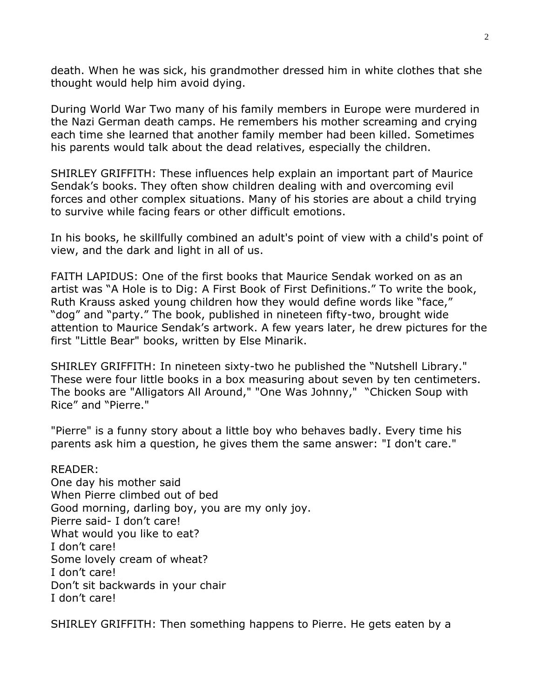death. When he was sick, his grandmother dressed him in white clothes that she thought would help him avoid dying.

During World War Two many of his family members in Europe were murdered in the Nazi German death camps. He remembers his mother screaming and crying each time she learned that another family member had been killed. Sometimes his parents would talk about the dead relatives, especially the children.

SHIRLEY GRIFFITH: These influences help explain an important part of Maurice Sendak's books. They often show children dealing with and overcoming evil forces and other complex situations. Many of his stories are about a child trying to survive while facing fears or other difficult emotions.

In his books, he skillfully combined an adult's point of view with a child's point of view, and the dark and light in all of us.

FAITH LAPIDUS: One of the first books that Maurice Sendak worked on as an artist was "A Hole is to Dig: A First Book of First Definitions." To write the book, Ruth Krauss asked young children how they would define words like "face," "dog" and "party." The book, published in nineteen fifty-two, brought wide attention to Maurice Sendak's artwork. A few years later, he drew pictures for the first "Little Bear" books, written by Else Minarik.

SHIRLEY GRIFFITH: In nineteen sixty-two he published the "Nutshell Library." These were four little books in a box measuring about seven by ten centimeters. The books are "Alligators All Around," "One Was Johnny," "Chicken Soup with Rice" and "Pierre."

"Pierre" is a funny story about a little boy who behaves badly. Every time his parents ask him a question, he gives them the same answer: "I don't care."

READER: One day his mother said When Pierre climbed out of bed Good morning, darling boy, you are my only joy. Pierre said- I don't care! What would you like to eat? I don't care! Some lovely cream of wheat? I don't care! Don't sit backwards in your chair I don't care!

SHIRLEY GRIFFITH: Then something happens to Pierre. He gets eaten by a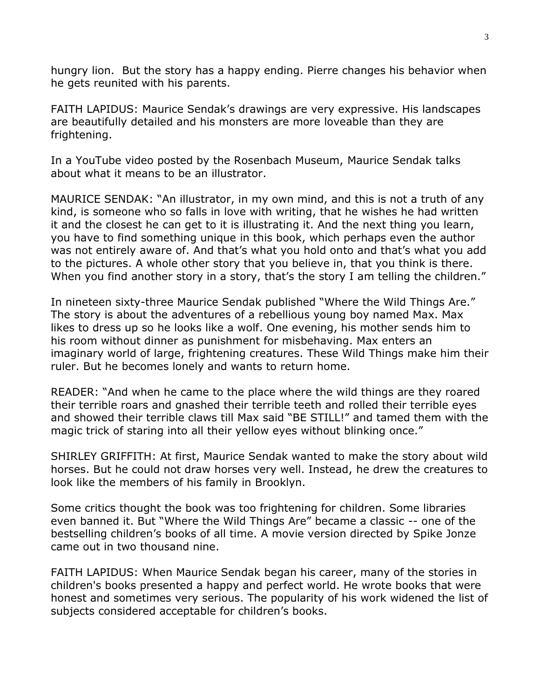hungry lion. But the story has a happy ending. Pierre changes his behavior when he gets reunited with his parents.

FAITH LAPIDUS: Maurice Sendak's drawings are very expressive. His landscapes are beautifully detailed and his monsters are more loveable than they are frightening.

In a YouTube video posted by the Rosenbach Museum, Maurice Sendak talks about what it means to be an illustrator.

MAURICE SENDAK: "An illustrator, in my own mind, and this is not a truth of any kind, is someone who so falls in love with writing, that he wishes he had written it and the closest he can get to it is illustrating it. And the next thing you learn, you have to find something unique in this book, which perhaps even the author was not entirely aware of. And that's what you hold onto and that's what you add to the pictures. A whole other story that you believe in, that you think is there. When you find another story in a story, that's the story I am telling the children."

In nineteen sixty-three Maurice Sendak published "Where the Wild Things Are." The story is about the adventures of a rebellious young boy named Max. Max likes to dress up so he looks like a wolf. One evening, his mother sends him to his room without dinner as punishment for misbehaving. Max enters an imaginary world of large, frightening creatures. These Wild Things make him their ruler. But he becomes lonely and wants to return home.

READER: "And when he came to the place where the wild things are they roared their terrible roars and gnashed their terrible teeth and rolled their terrible eyes and showed their terrible claws till Max said "BE STILL!" and tamed them with the magic trick of staring into all their yellow eyes without blinking once."

SHIRLEY GRIFFITH: At first, Maurice Sendak wanted to make the story about wild horses. But he could not draw horses very well. Instead, he drew the creatures to look like the members of his family in Brooklyn.

Some critics thought the book was too frightening for children. Some libraries even banned it. But "Where the Wild Things Are" became a classic -- one of the bestselling children's books of all time. A movie version directed by Spike Jonze came out in two thousand nine.

FAITH LAPIDUS: When Maurice Sendak began his career, many of the stories in children's books presented a happy and perfect world. He wrote books that were honest and sometimes very serious. The popularity of his work widened the list of subjects considered acceptable for children's books.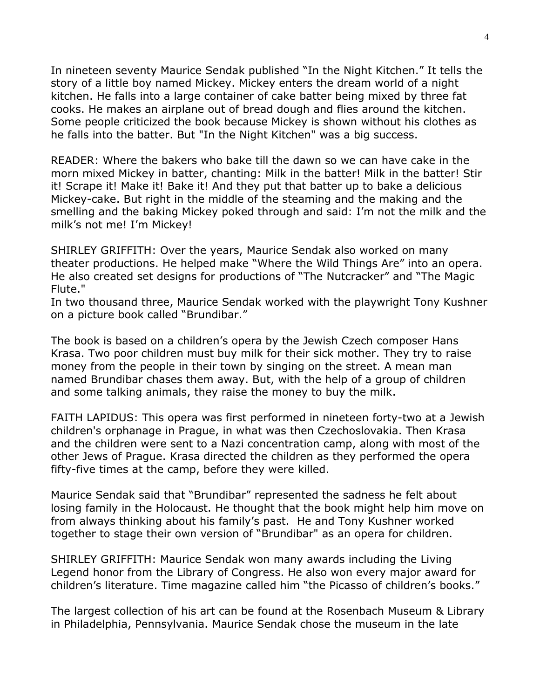In nineteen seventy Maurice Sendak published "In the Night Kitchen." It tells the story of a little boy named Mickey. Mickey enters the dream world of a night kitchen. He falls into a large container of cake batter being mixed by three fat cooks. He makes an airplane out of bread dough and flies around the kitchen. Some people criticized the book because Mickey is shown without his clothes as he falls into the batter. But "In the Night Kitchen" was a big success.

READER: Where the bakers who bake till the dawn so we can have cake in the morn mixed Mickey in batter, chanting: Milk in the batter! Milk in the batter! Stir it! Scrape it! Make it! Bake it! And they put that batter up to bake a delicious Mickey-cake. But right in the middle of the steaming and the making and the smelling and the baking Mickey poked through and said: I'm not the milk and the milk's not me! I'm Mickey!

SHIRLEY GRIFFITH: Over the years, Maurice Sendak also worked on many theater productions. He helped make "Where the Wild Things Are" into an opera. He also created set designs for productions of "The Nutcracker" and "The Magic Flute."

In two thousand three, Maurice Sendak worked with the playwright Tony Kushner on a picture book called "Brundibar."

The book is based on a children's opera by the Jewish Czech composer Hans Krasa. Two poor children must buy milk for their sick mother. They try to raise money from the people in their town by singing on the street. A mean man named Brundibar chases them away. But, with the help of a group of children and some talking animals, they raise the money to buy the milk.

FAITH LAPIDUS: This opera was first performed in nineteen forty-two at a Jewish children's orphanage in Prague, in what was then Czechoslovakia. Then Krasa and the children were sent to a Nazi concentration camp, along with most of the other Jews of Prague. Krasa directed the children as they performed the opera fifty-five times at the camp, before they were killed.

Maurice Sendak said that "Brundibar" represented the sadness he felt about losing family in the Holocaust. He thought that the book might help him move on from always thinking about his family's past. He and Tony Kushner worked together to stage their own version of "Brundibar" as an opera for children.

SHIRLEY GRIFFITH: Maurice Sendak won many awards including the Living Legend honor from the Library of Congress. He also won every major award for children's literature. Time magazine called him "the Picasso of children's books."

The largest collection of his art can be found at the Rosenbach Museum & Library in Philadelphia, Pennsylvania. Maurice Sendak chose the museum in the late